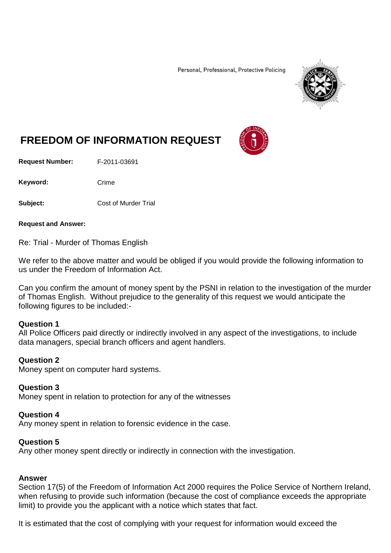Personal, Professional, Protective Policing



# **FREEDOM OF INFORMATION REQUEST**

**Request Number:** F-2011-03691

Keyword: Crime

**Subject:** Cost of Murder Trial

**Request and Answer:**

Re: Trial - Murder of Thomas English

We refer to the above matter and would be obliged if you would provide the following information to us under the Freedom of Information Act.

Can you confirm the amount of money spent by the PSNI in relation to the investigation of the murder of Thomas English. Without prejudice to the generality of this request we would anticipate the following figures to be included:-

### **Question 1**

All Police Officers paid directly or indirectly involved in any aspect of the investigations, to include data managers, special branch officers and agent handlers.

### **Question 2**

Money spent on computer hard systems.

### **Question 3**

Money spent in relation to protection for any of the witnesses

### **Question 4**

Any money spent in relation to forensic evidence in the case.

# **Question 5**

Any other money spent directly or indirectly in connection with the investigation.

### **Answer**

Section 17(5) of the Freedom of Information Act 2000 requires the Police Service of Northern Ireland, when refusing to provide such information (because the cost of compliance exceeds the appropriate limit) to provide you the applicant with a notice which states that fact.

It is estimated that the cost of complying with your request for information would exceed the